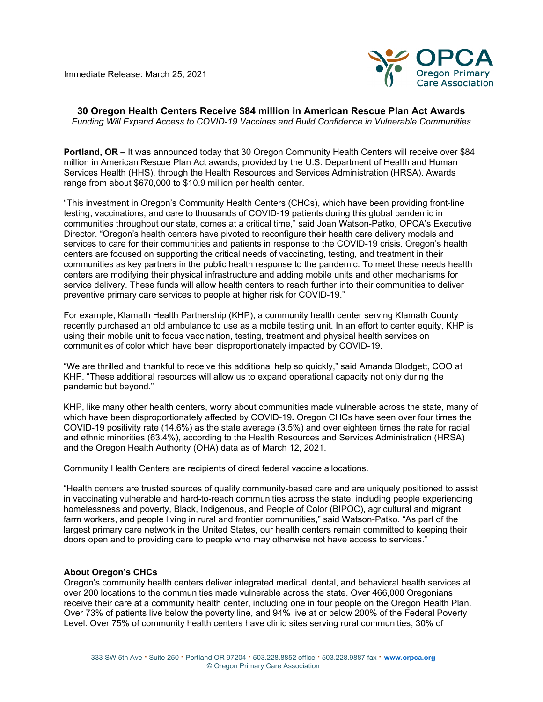Immediate Release: March 25, 2021



**30 Oregon Health Centers Receive \$84 million in American Rescue Plan Act Awards** *Funding Will Expand Access to COVID-19 Vaccines and Build Confidence in Vulnerable Communities*

**Portland, OR –** It was announced today that 30 Oregon Community Health Centers will receive over \$84 million in American Rescue Plan Act awards, provided by the U.S. Department of Health and Human Services Health (HHS), through the Health Resources and Services Administration (HRSA). Awards range from about \$670,000 to \$10.9 million per health center.

"This investment in Oregon's Community Health Centers (CHCs), which have been providing front-line testing, vaccinations, and care to thousands of COVID-19 patients during this global pandemic in communities throughout our state, comes at a critical time," said Joan Watson-Patko, OPCA's Executive Director. "Oregon's health centers have pivoted to reconfigure their health care delivery models and services to care for their communities and patients in response to the COVID-19 crisis. Oregon's health centers are focused on supporting the critical needs of vaccinating, testing, and treatment in their communities as key partners in the public health response to the pandemic. To meet these needs health centers are modifying their physical infrastructure and adding mobile units and other mechanisms for service delivery. These funds will allow health centers to reach further into their communities to deliver preventive primary care services to people at higher risk for COVID-19."

For example, Klamath Health Partnership (KHP), a community health center serving Klamath County recently purchased an old ambulance to use as a mobile testing unit. In an effort to center equity, KHP is using their mobile unit to focus vaccination, testing, treatment and physical health services on communities of color which have been disproportionately impacted by COVID-19.

"We are thrilled and thankful to receive this additional help so quickly," said Amanda Blodgett, COO at KHP. "These additional resources will allow us to expand operational capacity not only during the pandemic but beyond."

KHP, like many other health centers, worry about communities made vulnerable across the state, many of which have been disproportionately affected by COVID-19**.** Oregon CHCs have seen over four times the COVID-19 positivity rate (14.6%) as the state average (3.5%) and over eighteen times the rate for racial and ethnic minorities (63.4%), according to the Health Resources and Services Administration (HRSA) and the Oregon Health Authority (OHA) data as of March 12, 2021.

Community Health Centers are recipients of direct federal vaccine allocations.

"Health centers are trusted sources of quality community-based care and are uniquely positioned to assist in vaccinating vulnerable and hard-to-reach communities across the state, including people experiencing homelessness and poverty, Black, Indigenous, and People of Color (BIPOC), agricultural and migrant farm workers, and people living in rural and frontier communities," said Watson-Patko. "As part of the largest primary care network in the United States, our health centers remain committed to keeping their doors open and to providing care to people who may otherwise not have access to services."

## **About Oregon's CHCs**

Oregon's community health centers deliver integrated medical, dental, and behavioral health services at over 200 locations to the communities made vulnerable across the state. Over 466,000 Oregonians receive their care at a community health center, including one in four people on the Oregon Health Plan. Over 73% of patients live below the poverty line, and 94% live at or below 200% of the Federal Poverty Level. Over 75% of community health centers have clinic sites serving rural communities, 30% of